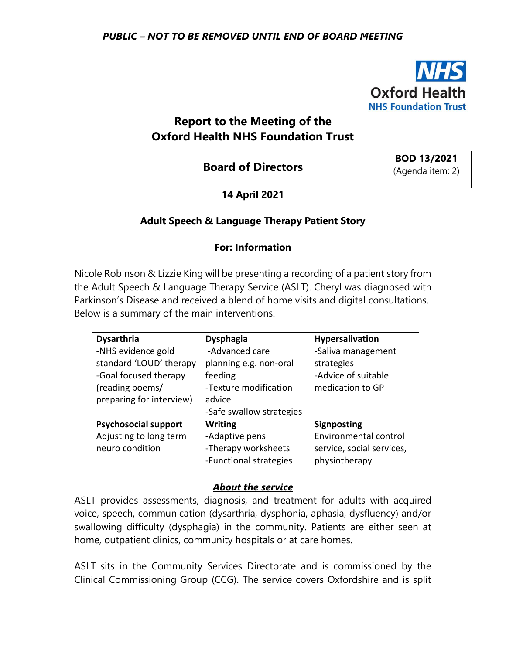

# **Report to the Meeting of the Oxford Health NHS Foundation Trust**

**Board of Directors**

**BOD 13/2021** (Agenda item: 2)

**14 April 2021**

## **Adult Speech & Language Therapy Patient Story**

### **For: Information**

Nicole Robinson & Lizzie King will be presenting a recording of a patient story from the Adult Speech & Language Therapy Service (ASLT). Cheryl was diagnosed with Parkinson's Disease and received a blend of home visits and digital consultations. Below is a summary of the main interventions.

| <b>Dysarthria</b>           | <b>Dysphagia</b>         | Hypersalivation           |  |  |  |
|-----------------------------|--------------------------|---------------------------|--|--|--|
| -NHS evidence gold          | -Advanced care           | -Saliva management        |  |  |  |
| standard 'LOUD' therapy     | planning e.g. non-oral   | strategies                |  |  |  |
| -Goal focused therapy       | feeding                  | -Advice of suitable       |  |  |  |
| (reading poems/             | -Texture modification    | medication to GP          |  |  |  |
| preparing for interview)    | advice                   |                           |  |  |  |
|                             | -Safe swallow strategies |                           |  |  |  |
| <b>Psychosocial support</b> | <b>Writing</b>           | <b>Signposting</b>        |  |  |  |
| Adjusting to long term      | -Adaptive pens           | Environmental control     |  |  |  |
| neuro condition             | -Therapy worksheets      | service, social services, |  |  |  |
|                             | -Functional strategies   | physiotherapy             |  |  |  |

### *About the service*

ASLT provides assessments, diagnosis, and treatment for adults with acquired voice, speech, communication (dysarthria, dysphonia, aphasia, dysfluency) and/or swallowing difficulty (dysphagia) in the community. Patients are either seen at home, outpatient clinics, community hospitals or at care homes.

ASLT sits in the Community Services Directorate and is commissioned by the Clinical Commissioning Group (CCG). The service covers Oxfordshire and is split